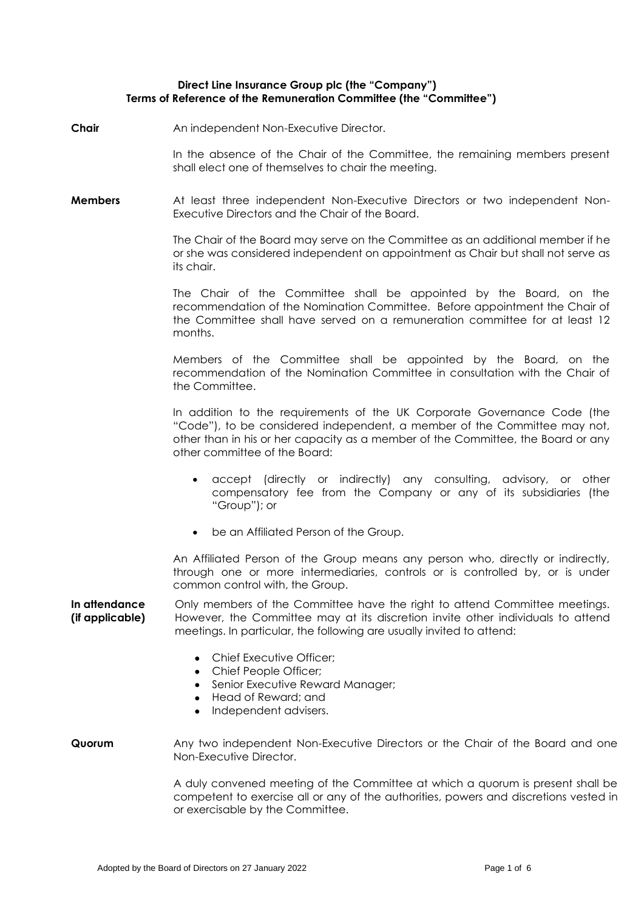# **Direct Line Insurance Group plc (the "Company") Terms of Reference of the Remuneration Committee (the "Committee")**

**Chair** An independent Non-Executive Director.

In the absence of the Chair of the Committee, the remaining members present shall elect one of themselves to chair the meeting.

**Members** At least three independent Non-Executive Directors or two independent Non-Executive Directors and the Chair of the Board.

> The Chair of the Board may serve on the Committee as an additional member if he or she was considered independent on appointment as Chair but shall not serve as its chair.

> The Chair of the Committee shall be appointed by the Board, on the recommendation of the Nomination Committee. Before appointment the Chair of the Committee shall have served on a remuneration committee for at least 12 months.

> Members of the Committee shall be appointed by the Board, on the recommendation of the Nomination Committee in consultation with the Chair of the Committee.

> In addition to the requirements of the UK Corporate Governance Code (the "Code"), to be considered independent, a member of the Committee may not, other than in his or her capacity as a member of the Committee, the Board or any other committee of the Board:

- accept (directly or indirectly) any consulting, advisory, or other compensatory fee from the Company or any of its subsidiaries (the "Group"); or
- be an Affiliated Person of the Group.

An Affiliated Person of the Group means any person who, directly or indirectly, through one or more intermediaries, controls or is controlled by, or is under common control with, the Group.

**In attendance (if applicable)** Only members of the Committee have the right to attend Committee meetings. However, the Committee may at its discretion invite other individuals to attend meetings. In particular, the following are usually invited to attend:

- Chief Executive Officer:
- Chief People Officer:
- Senior Executive Reward Manager:
- Head of Reward; and
- Independent advisers.

**Quorum** Any two independent Non-Executive Directors or the Chair of the Board and one Non-Executive Director.

> A duly convened meeting of the Committee at which a quorum is present shall be competent to exercise all or any of the authorities, powers and discretions vested in or exercisable by the Committee.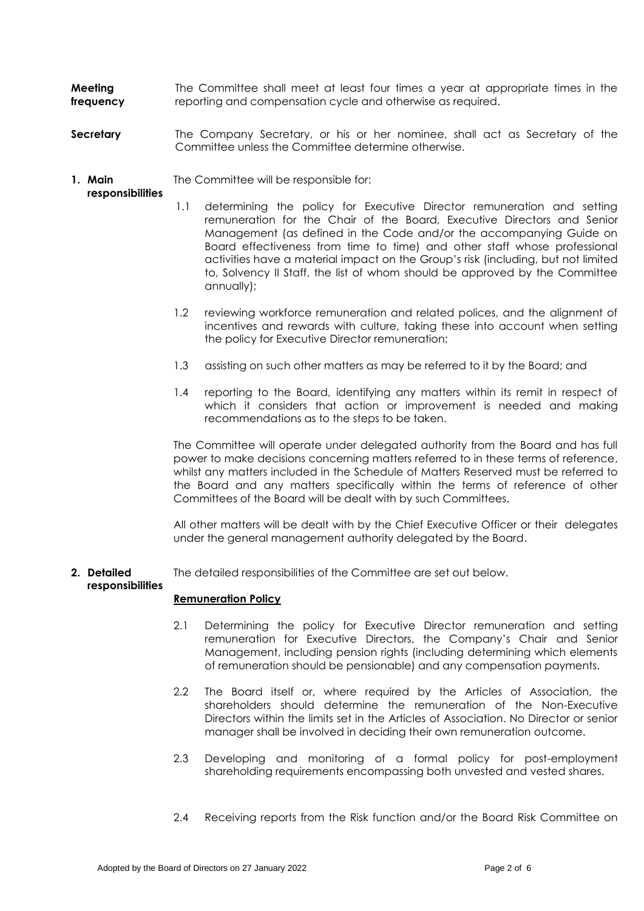- **Meeting frequency** The Committee shall meet at least four times a year at appropriate times in the reporting and compensation cycle and otherwise as required.
- **Secretary** The Company Secretary, or his or her nominee, shall act as Secretary of the Committee unless the Committee determine otherwise.
- **1. Main**  The Committee will be responsible for:

# **responsibilities**

- 1.1 determining the policy for Executive Director remuneration and setting remuneration for the Chair of the Board, Executive Directors and Senior Management (as defined in the Code and/or the accompanying Guide on Board effectiveness from time to time) and other staff whose professional activities have a material impact on the Group's risk (including, but not limited to, Solvency II Staff, the list of whom should be approved by the Committee annually);
- 1.2 reviewing workforce remuneration and related polices, and the alignment of incentives and rewards with culture, taking these into account when setting the policy for Executive Director remuneration;
- 1.3 assisting on such other matters as may be referred to it by the Board; and
- 1.4 reporting to the Board, identifying any matters within its remit in respect of which it considers that action or improvement is needed and making recommendations as to the steps to be taken.

The Committee will operate under delegated authority from the Board and has full power to make decisions concerning matters referred to in these terms of reference, whilst any matters included in the Schedule of Matters Reserved must be referred to the Board and any matters specifically within the terms of reference of other Committees of the Board will be dealt with by such Committees.

All other matters will be dealt with by the Chief Executive Officer or their delegates under the general management authority delegated by the Board.

**2. Detailed**  The detailed responsibilities of the Committee are set out below.

#### **responsibilities Remuneration Policy**

- 2.1 Determining the policy for Executive Director remuneration and setting remuneration for Executive Directors, the Company's Chair and Senior Management, including pension rights (including determining which elements of remuneration should be pensionable) and any compensation payments.
- 2.2 The Board itself or, where required by the Articles of Association, the shareholders should determine the remuneration of the Non-Executive Directors within the limits set in the Articles of Association. No Director or senior manager shall be involved in deciding their own remuneration outcome.
- 2.3 Developing and monitoring of a formal policy for post-employment shareholding requirements encompassing both unvested and vested shares.
- 2.4 Receiving reports from the Risk function and/or the Board Risk Committee on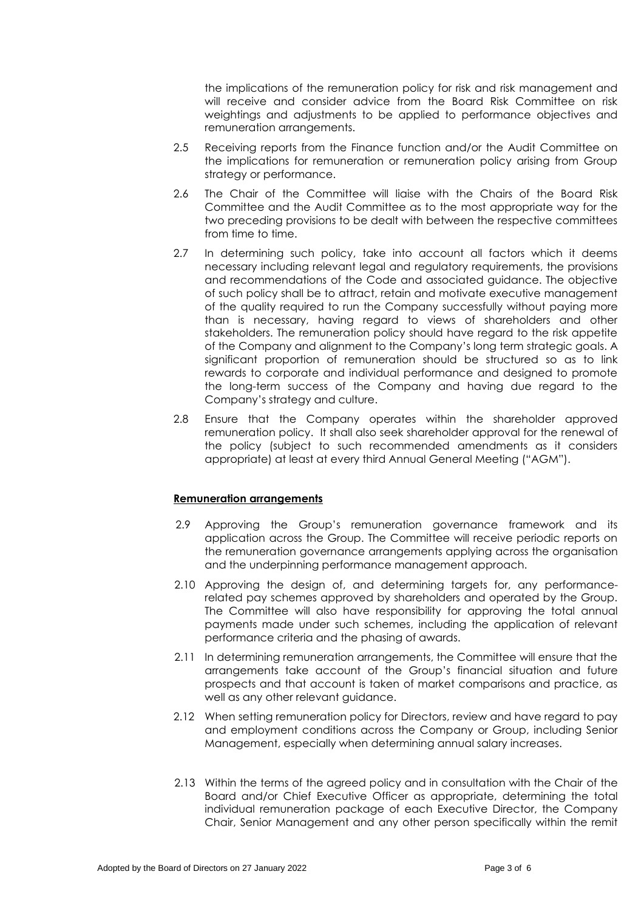the implications of the remuneration policy for risk and risk management and will receive and consider advice from the Board Risk Committee on risk weightings and adjustments to be applied to performance objectives and remuneration arrangements.

- 2.5 Receiving reports from the Finance function and/or the Audit Committee on the implications for remuneration or remuneration policy arising from Group strategy or performance.
- 2.6 The Chair of the Committee will liaise with the Chairs of the Board Risk Committee and the Audit Committee as to the most appropriate way for the two preceding provisions to be dealt with between the respective committees from time to time.
- 2.7 In determining such policy, take into account all factors which it deems necessary including relevant legal and regulatory requirements, the provisions and recommendations of the Code and associated guidance. The objective of such policy shall be to attract, retain and motivate executive management of the quality required to run the Company successfully without paying more than is necessary, having regard to views of shareholders and other stakeholders. The remuneration policy should have regard to the risk appetite of the Company and alignment to the Company's long term strategic goals. A significant proportion of remuneration should be structured so as to link rewards to corporate and individual performance and designed to promote the long-term success of the Company and having due regard to the Company's strategy and culture.
- 2.8 Ensure that the Company operates within the shareholder approved remuneration policy. It shall also seek shareholder approval for the renewal of the policy (subject to such recommended amendments as it considers appropriate) at least at every third Annual General Meeting ("AGM").

# **Remuneration arrangements**

- 2.9 Approving the Group's remuneration governance framework and its application across the Group. The Committee will receive periodic reports on the remuneration governance arrangements applying across the organisation and the underpinning performance management approach.
- 2.10 Approving the design of, and determining targets for, any performancerelated pay schemes approved by shareholders and operated by the Group. The Committee will also have responsibility for approving the total annual payments made under such schemes, including the application of relevant performance criteria and the phasing of awards.
- 2.11 In determining remuneration arrangements, the Committee will ensure that the arrangements take account of the Group's financial situation and future prospects and that account is taken of market comparisons and practice, as well as any other relevant guidance.
- 2.12 When setting remuneration policy for Directors, review and have regard to pay and employment conditions across the Company or Group, including Senior Management, especially when determining annual salary increases.
- 2.13 Within the terms of the agreed policy and in consultation with the Chair of the Board and/or Chief Executive Officer as appropriate, determining the total individual remuneration package of each Executive Director, the Company Chair, Senior Management and any other person specifically within the remit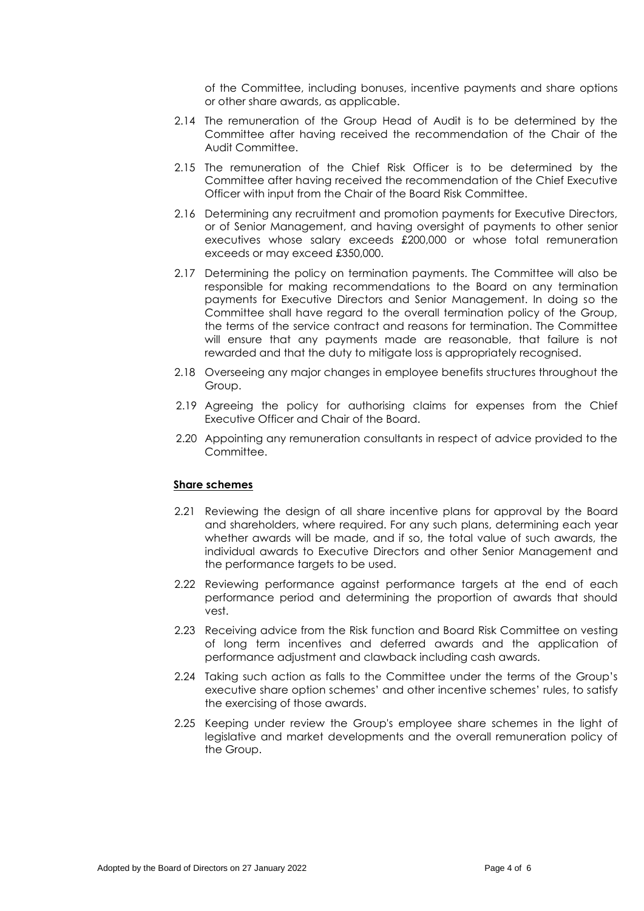of the Committee, including bonuses, incentive payments and share options or other share awards, as applicable.

- 2.14 The remuneration of the Group Head of Audit is to be determined by the Committee after having received the recommendation of the Chair of the Audit Committee.
- 2.15 The remuneration of the Chief Risk Officer is to be determined by the Committee after having received the recommendation of the Chief Executive Officer with input from the Chair of the Board Risk Committee.
- 2.16 Determining any recruitment and promotion payments for Executive Directors, or of Senior Management, and having oversight of payments to other senior executives whose salary exceeds £200,000 or whose total remuneration exceeds or may exceed £350,000.
- 2.17 Determining the policy on termination payments. The Committee will also be responsible for making recommendations to the Board on any termination payments for Executive Directors and Senior Management. In doing so the Committee shall have regard to the overall termination policy of the Group, the terms of the service contract and reasons for termination. The Committee will ensure that any payments made are reasonable, that failure is not rewarded and that the duty to mitigate loss is appropriately recognised.
- 2.18 Overseeing any major changes in employee benefits structures throughout the Group.
- 2.19 Agreeing the policy for authorising claims for expenses from the Chief Executive Officer and Chair of the Board.
- 2.20 Appointing any remuneration consultants in respect of advice provided to the Committee.

# **Share schemes**

- 2.21 Reviewing the design of all share incentive plans for approval by the Board and shareholders, where required. For any such plans, determining each year whether awards will be made, and if so, the total value of such awards, the individual awards to Executive Directors and other Senior Management and the performance targets to be used.
- 2.22 Reviewing performance against performance targets at the end of each performance period and determining the proportion of awards that should vest.
- 2.23 Receiving advice from the Risk function and Board Risk Committee on vesting of long term incentives and deferred awards and the application of performance adjustment and clawback including cash awards.
- 2.24 Taking such action as falls to the Committee under the terms of the Group's executive share option schemes' and other incentive schemes' rules, to satisfy the exercising of those awards.
- 2.25 Keeping under review the Group's employee share schemes in the light of legislative and market developments and the overall remuneration policy of the Group.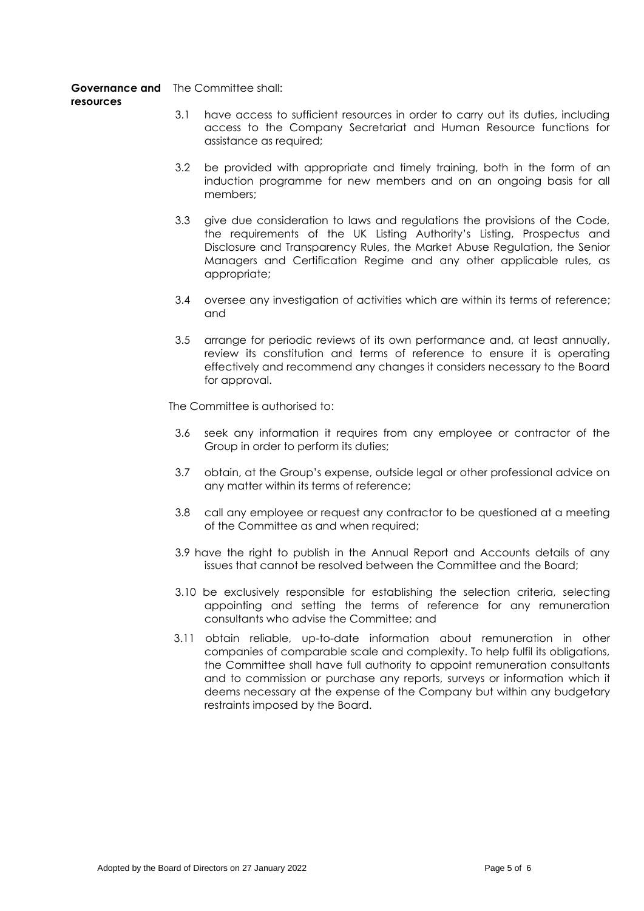## Governance and The Committee shall: **resources**

- 3.1 have access to sufficient resources in order to carry out its duties, including access to the Company Secretariat and Human Resource functions for assistance as required;
- 3.2 be provided with appropriate and timely training, both in the form of an induction programme for new members and on an ongoing basis for all members;
- 3.3 give due consideration to laws and regulations the provisions of the Code, the requirements of the UK Listing Authority's Listing, Prospectus and Disclosure and Transparency Rules, the Market Abuse Regulation, the Senior Managers and Certification Regime and any other applicable rules, as appropriate;
- 3.4 oversee any investigation of activities which are within its terms of reference; and
- 3.5 arrange for periodic reviews of its own performance and, at least annually, review its constitution and terms of reference to ensure it is operating effectively and recommend any changes it considers necessary to the Board for approval.

The Committee is authorised to:

- 3.6 seek any information it requires from any employee or contractor of the Group in order to perform its duties;
- 3.7 obtain, at the Group's expense, outside legal or other professional advice on any matter within its terms of reference;
- 3.8 call any employee or request any contractor to be questioned at a meeting of the Committee as and when required;
- 3.9 have the right to publish in the Annual Report and Accounts details of any issues that cannot be resolved between the Committee and the Board;
- 3.10 be exclusively responsible for establishing the selection criteria, selecting appointing and setting the terms of reference for any remuneration consultants who advise the Committee; and
- 3.11 obtain reliable, up-to-date information about remuneration in other companies of comparable scale and complexity. To help fulfil its obligations, the Committee shall have full authority to appoint remuneration consultants and to commission or purchase any reports, surveys or information which it deems necessary at the expense of the Company but within any budgetary restraints imposed by the Board.